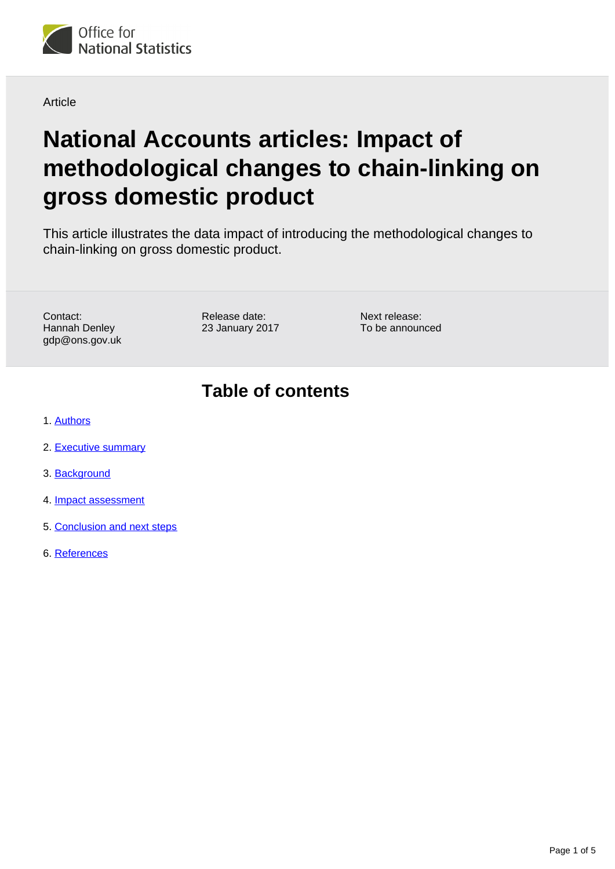

Article

# **National Accounts articles: Impact of methodological changes to chain-linking on gross domestic product**

This article illustrates the data impact of introducing the methodological changes to chain-linking on gross domestic product.

Contact: Hannah Denley gdp@ons.gov.uk Release date: 23 January 2017 Next release: To be announced

### **Table of contents**

- 1. [Authors](#page-1-0)
- 2. [Executive summary](#page-1-1)
- 3. [Background](#page-1-2)
- 4. [Impact assessment](#page-2-0)
- 5. [Conclusion and next steps](#page-3-0)
- 6. [References](#page-4-0)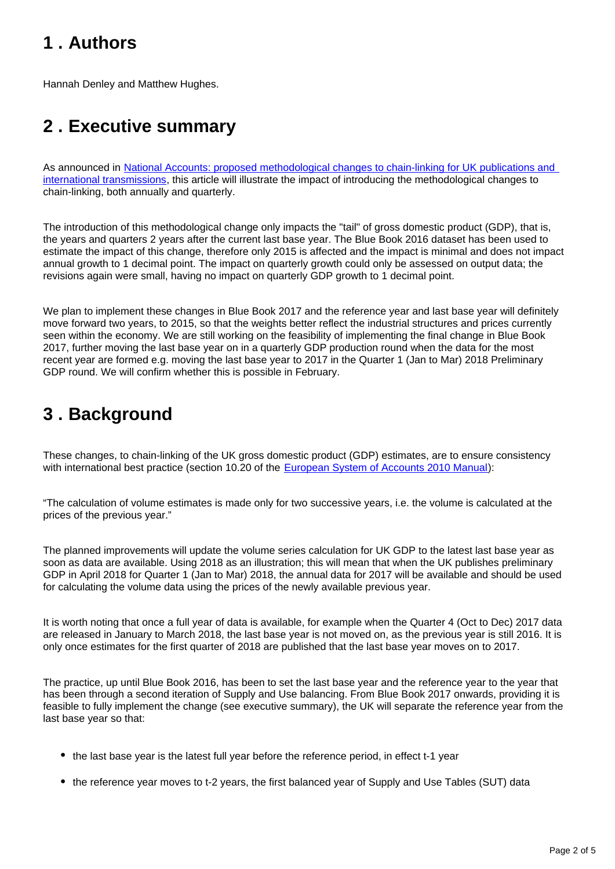## <span id="page-1-0"></span>**1 . Authors**

Hannah Denley and Matthew Hughes.

## <span id="page-1-1"></span>**2 . Executive summary**

As announced in [National Accounts: proposed methodological changes to chain-linking for UK publications and](https://www.ons.gov.uk/economy/grossdomesticproductgdp/articles/nationalaccounts/proposedmethodologicalchangestochainlinkingforukpublicationsandinternationaltransmissions)  [international transmissions](https://www.ons.gov.uk/economy/grossdomesticproductgdp/articles/nationalaccounts/proposedmethodologicalchangestochainlinkingforukpublicationsandinternationaltransmissions), this article will illustrate the impact of introducing the methodological changes to chain-linking, both annually and quarterly.

The introduction of this methodological change only impacts the "tail" of gross domestic product (GDP), that is, the years and quarters 2 years after the current last base year. The Blue Book 2016 dataset has been used to estimate the impact of this change, therefore only 2015 is affected and the impact is minimal and does not impact annual growth to 1 decimal point. The impact on quarterly growth could only be assessed on output data; the revisions again were small, having no impact on quarterly GDP growth to 1 decimal point.

We plan to implement these changes in Blue Book 2017 and the reference year and last base year will definitely move forward two years, to 2015, so that the weights better reflect the industrial structures and prices currently seen within the economy. We are still working on the feasibility of implementing the final change in Blue Book 2017, further moving the last base year on in a quarterly GDP production round when the data for the most recent year are formed e.g. moving the last base year to 2017 in the Quarter 1 (Jan to Mar) 2018 Preliminary GDP round. We will confirm whether this is possible in February.

## <span id="page-1-2"></span>**3 . Background**

These changes, to chain-linking of the UK gross domestic product (GDP) estimates, are to ensure consistency with international best practice (section 10.20 of the **European System of Accounts 2010 Manual**):

"The calculation of volume estimates is made only for two successive years, i.e. the volume is calculated at the prices of the previous year."

The planned improvements will update the volume series calculation for UK GDP to the latest last base year as soon as data are available. Using 2018 as an illustration; this will mean that when the UK publishes preliminary GDP in April 2018 for Quarter 1 (Jan to Mar) 2018, the annual data for 2017 will be available and should be used for calculating the volume data using the prices of the newly available previous year.

It is worth noting that once a full year of data is available, for example when the Quarter 4 (Oct to Dec) 2017 data are released in January to March 2018, the last base year is not moved on, as the previous year is still 2016. It is only once estimates for the first quarter of 2018 are published that the last base year moves on to 2017.

The practice, up until Blue Book 2016, has been to set the last base year and the reference year to the year that has been through a second iteration of Supply and Use balancing. From Blue Book 2017 onwards, providing it is feasible to fully implement the change (see executive summary), the UK will separate the reference year from the last base year so that:

- the last base year is the latest full year before the reference period, in effect t-1 year
- the reference year moves to t-2 years, the first balanced year of Supply and Use Tables (SUT) data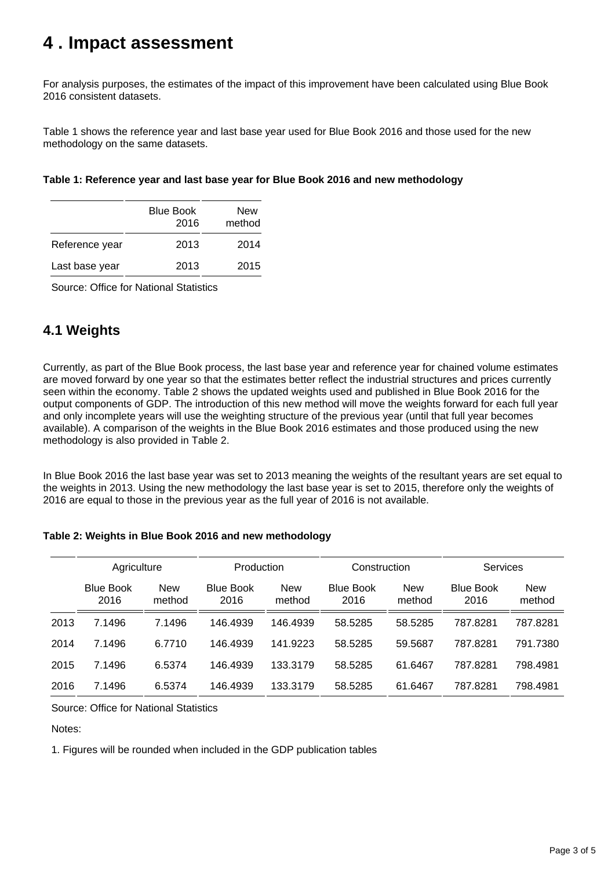### <span id="page-2-0"></span>**4 . Impact assessment**

For analysis purposes, the estimates of the impact of this improvement have been calculated using Blue Book 2016 consistent datasets.

Table 1 shows the reference year and last base year used for Blue Book 2016 and those used for the new methodology on the same datasets.

| Table 1: Reference year and last base year for Blue Book 2016 and new methodology |  |
|-----------------------------------------------------------------------------------|--|
|-----------------------------------------------------------------------------------|--|

|                | <b>Blue Book</b><br>2016 | New<br>method |
|----------------|--------------------------|---------------|
| Reference year | 2013                     | 2014          |
| Last base year | 2013                     | 2015          |

Source: Office for National Statistics

### **4.1 Weights**

Currently, as part of the Blue Book process, the last base year and reference year for chained volume estimates are moved forward by one year so that the estimates better reflect the industrial structures and prices currently seen within the economy. Table 2 shows the updated weights used and published in Blue Book 2016 for the output components of GDP. The introduction of this new method will move the weights forward for each full year and only incomplete years will use the weighting structure of the previous year (until that full year becomes available). A comparison of the weights in the Blue Book 2016 estimates and those produced using the new methodology is also provided in Table 2.

In Blue Book 2016 the last base year was set to 2013 meaning the weights of the resultant years are set equal to the weights in 2013. Using the new methodology the last base year is set to 2015, therefore only the weights of 2016 are equal to those in the previous year as the full year of 2016 is not available.

#### **Table 2: Weights in Blue Book 2016 and new methodology**

|      | Agriculture              |                      | Production               |                      | Construction             |                      | <b>Services</b>          |                      |
|------|--------------------------|----------------------|--------------------------|----------------------|--------------------------|----------------------|--------------------------|----------------------|
|      |                          |                      |                          |                      |                          |                      |                          |                      |
|      | <b>Blue Book</b><br>2016 | <b>New</b><br>method | <b>Blue Book</b><br>2016 | <b>New</b><br>method | <b>Blue Book</b><br>2016 | <b>New</b><br>method | <b>Blue Book</b><br>2016 | <b>New</b><br>method |
| 2013 | 7.1496                   | 7.1496               | 146.4939                 | 146.4939             | 58.5285                  | 58.5285              | 787.8281                 | 787.8281             |
| 2014 | 7.1496                   | 6.7710               | 146.4939                 | 141.9223             | 58.5285                  | 59.5687              | 787.8281                 | 791.7380             |
| 2015 | 7.1496                   | 6.5374               | 146.4939                 | 133.3179             | 58.5285                  | 61.6467              | 787.8281                 | 798.4981             |
| 2016 | 7.1496                   | 6.5374               | 146.4939                 | 133.3179             | 58.5285                  | 61.6467              | 787.8281                 | 798.4981             |

Source: Office for National Statistics

Notes:

1. Figures will be rounded when included in the GDP publication tables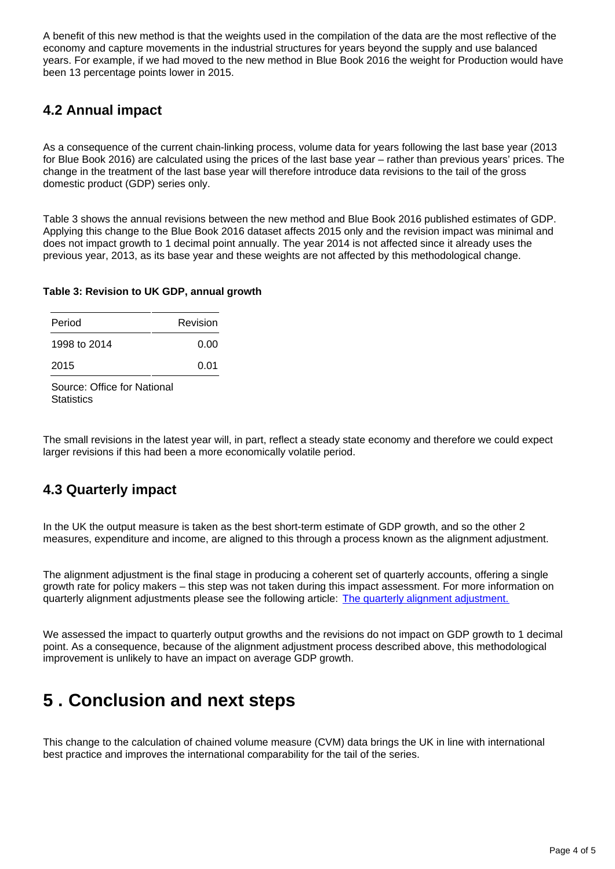A benefit of this new method is that the weights used in the compilation of the data are the most reflective of the economy and capture movements in the industrial structures for years beyond the supply and use balanced years. For example, if we had moved to the new method in Blue Book 2016 the weight for Production would have been 13 percentage points lower in 2015.

### **4.2 Annual impact**

As a consequence of the current chain-linking process, volume data for years following the last base year (2013 for Blue Book 2016) are calculated using the prices of the last base year – rather than previous years' prices. The change in the treatment of the last base year will therefore introduce data revisions to the tail of the gross domestic product (GDP) series only.

Table 3 shows the annual revisions between the new method and Blue Book 2016 published estimates of GDP. Applying this change to the Blue Book 2016 dataset affects 2015 only and the revision impact was minimal and does not impact growth to 1 decimal point annually. The year 2014 is not affected since it already uses the previous year, 2013, as its base year and these weights are not affected by this methodological change.

#### **Table 3: Revision to UK GDP, annual growth**

| Period       | Revision |
|--------------|----------|
| 1998 to 2014 | 0.00     |
| 2015         | 0.01     |

Source: Office for National **Statistics** 

The small revisions in the latest year will, in part, reflect a steady state economy and therefore we could expect larger revisions if this had been a more economically volatile period.

### **4.3 Quarterly impact**

In the UK the output measure is taken as the best short-term estimate of GDP growth, and so the other 2 measures, expenditure and income, are aligned to this through a process known as the alignment adjustment.

The alignment adjustment is the final stage in producing a coherent set of quarterly accounts, offering a single growth rate for policy makers – this step was not taken during this impact assessment. For more information on quarterly alignment adjustments please see the following article: [The quarterly alignment adjustment.](http://www.ons.gov.uk/ons/rel/elmr/economic-and-labour-market-review/no--12--december-2009/methods-explained--the-quarterly-alignment-adjustment.pdf)

We assessed the impact to quarterly output growths and the revisions do not impact on GDP growth to 1 decimal point. As a consequence, because of the alignment adjustment process described above, this methodological improvement is unlikely to have an impact on average GDP growth.

### <span id="page-3-0"></span>**5 . Conclusion and next steps**

This change to the calculation of chained volume measure (CVM) data brings the UK in line with international best practice and improves the international comparability for the tail of the series.